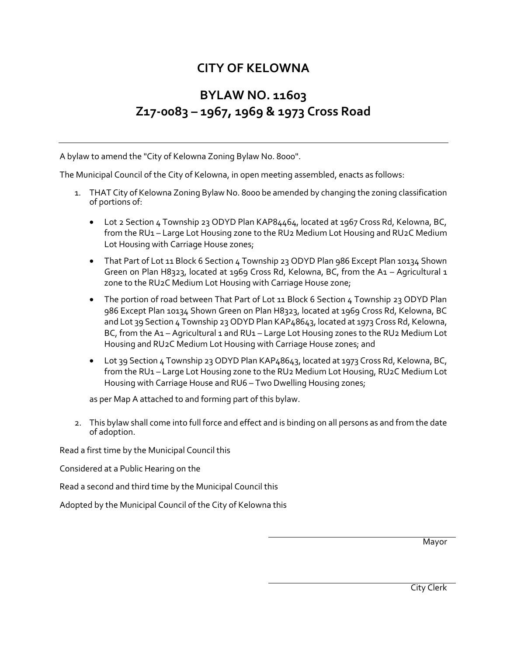## **CITY OF KELOWNA**

## **BYLAW NO. 11603 Z17-0083 – 1967, 1969 & 1973 Cross Road**

A bylaw to amend the "City of Kelowna Zoning Bylaw No. 8000".

The Municipal Council of the City of Kelowna, in open meeting assembled, enacts as follows:

- 1. THAT City of Kelowna Zoning Bylaw No. 8000 be amended by changing the zoning classification of portions of:
	- Lot 2 Section 4 Township 23 ODYD Plan KAP84464, located at 1967 Cross Rd, Kelowna, BC, from the RU1 – Large Lot Housing zone to the RU2 Medium Lot Housing and RU2C Medium Lot Housing with Carriage House zones;
	- That Part of Lot 11 Block 6 Section 4 Township 23 ODYD Plan 986 Except Plan 10134 Shown Green on Plan H8323, located at 1969 Cross Rd, Kelowna, BC, from the A1 – Agricultural 1 zone to the RU2C Medium Lot Housing with Carriage House zone;
	- The portion of road between That Part of Lot 11 Block 6 Section 4 Township 23 ODYD Plan 986 Except Plan 10134 Shown Green on Plan H8323, located at 1969 Cross Rd, Kelowna, BC and Lot 39 Section 4 Township 23 ODYD Plan KAP48643, located at 1973 Cross Rd, Kelowna, BC, from the A1 - Agricultural 1 and RU1 - Large Lot Housing zones to the RU2 Medium Lot Housing and RU2C Medium Lot Housing with Carriage House zones; and
	- Lot 39 Section 4 Township 23 ODYD Plan KAP48643, located at 1973 Cross Rd, Kelowna, BC, from the RU1 – Large Lot Housing zone to the RU2 Medium Lot Housing, RU2C Medium Lot Housing with Carriage House and RU6 – Two Dwelling Housing zones;

as per Map A attached to and forming part of this bylaw.

2. This bylaw shall come into full force and effect and is binding on all persons as and from the date of adoption.

Read a first time by the Municipal Council this

Considered at a Public Hearing on the

Read a second and third time by the Municipal Council this

Adopted by the Municipal Council of the City of Kelowna this

Mayor